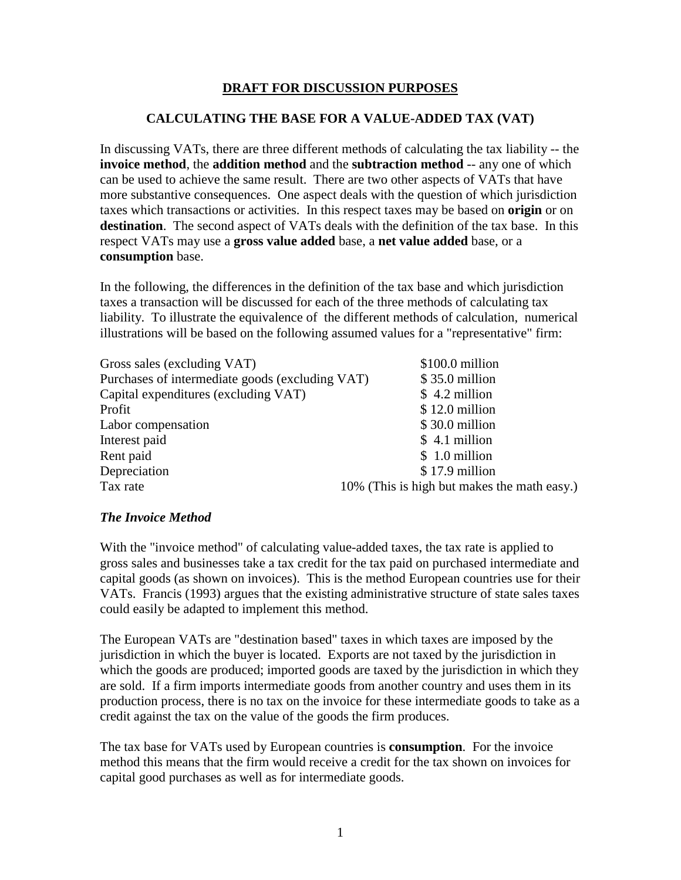# **DRAFT FOR DISCUSSION PURPOSES**

## **CALCULATING THE BASE FOR A VALUE-ADDED TAX (VAT)**

In discussing VATs, there are three different methods of calculating the tax liability -- the **invoice method**, the **addition method** and the **subtraction method** -- any one of which can be used to achieve the same result. There are two other aspects of VATs that have more substantive consequences. One aspect deals with the question of which jurisdiction taxes which transactions or activities. In this respect taxes may be based on **origin** or on **destination**. The second aspect of VATs deals with the definition of the tax base. In this respect VATs may use a **gross value added** base, a **net value added** base, or a **consumption** base.

In the following, the differences in the definition of the tax base and which jurisdiction taxes a transaction will be discussed for each of the three methods of calculating tax liability. To illustrate the equivalence of the different methods of calculation, numerical illustrations will be based on the following assumed values for a "representative" firm:

| \$100.0 million                                                    |
|--------------------------------------------------------------------|
| Purchases of intermediate goods (excluding VAT)<br>$$35.0$ million |
| $$4.2$ million                                                     |
| $$12.0$ million                                                    |
| \$30.0 million                                                     |
| \$4.1 million                                                      |
| \$1.0 million                                                      |
| $$17.9$ million                                                    |
| 10% (This is high but makes the math easy.)                        |
|                                                                    |

#### *The Invoice Method*

With the "invoice method" of calculating value-added taxes, the tax rate is applied to gross sales and businesses take a tax credit for the tax paid on purchased intermediate and capital goods (as shown on invoices). This is the method European countries use for their VATs. Francis (1993) argues that the existing administrative structure of state sales taxes could easily be adapted to implement this method.

The European VATs are "destination based" taxes in which taxes are imposed by the jurisdiction in which the buyer is located. Exports are not taxed by the jurisdiction in which the goods are produced; imported goods are taxed by the jurisdiction in which they are sold. If a firm imports intermediate goods from another country and uses them in its production process, there is no tax on the invoice for these intermediate goods to take as a credit against the tax on the value of the goods the firm produces.

The tax base for VATs used by European countries is **consumption**. For the invoice method this means that the firm would receive a credit for the tax shown on invoices for capital good purchases as well as for intermediate goods.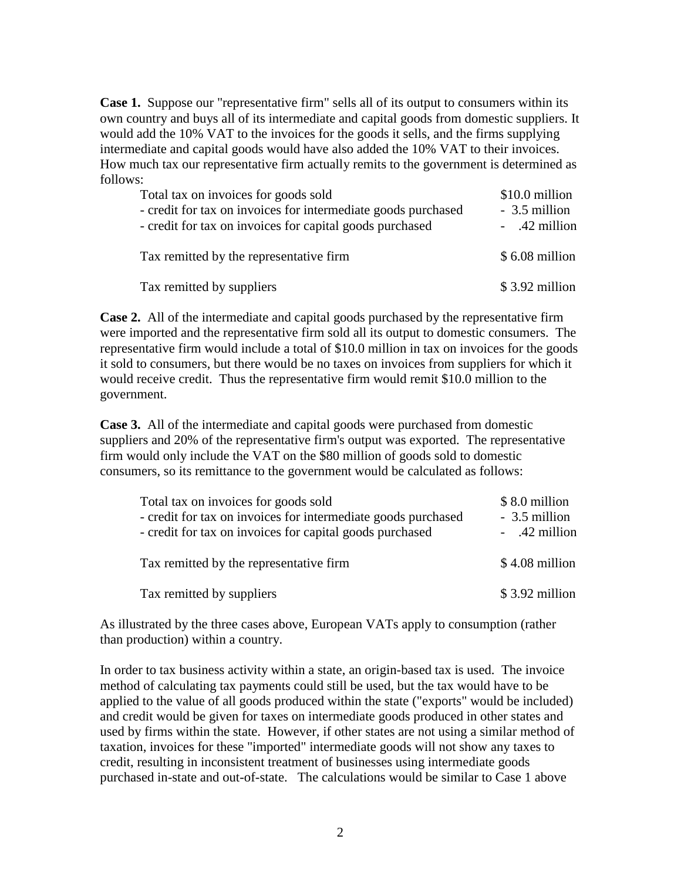**Case 1.** Suppose our "representative firm" sells all of its output to consumers within its own country and buys all of its intermediate and capital goods from domestic suppliers. It would add the 10% VAT to the invoices for the goods it sells, and the firms supplying intermediate and capital goods would have also added the 10% VAT to their invoices. How much tax our representative firm actually remits to the government is determined as follows:

| Total tax on invoices for goods sold<br>- credit for tax on invoices for intermediate goods purchased<br>- credit for tax on invoices for capital goods purchased | \$10.0 million<br>- 3.5 million<br>- .42 million |
|-------------------------------------------------------------------------------------------------------------------------------------------------------------------|--------------------------------------------------|
| Tax remitted by the representative firm                                                                                                                           | $$6.08$ million                                  |
| Tax remitted by suppliers                                                                                                                                         | $$3.92$ million                                  |

**Case 2.** All of the intermediate and capital goods purchased by the representative firm were imported and the representative firm sold all its output to domestic consumers. The representative firm would include a total of \$10.0 million in tax on invoices for the goods it sold to consumers, but there would be no taxes on invoices from suppliers for which it would receive credit. Thus the representative firm would remit \$10.0 million to the government.

**Case 3.** All of the intermediate and capital goods were purchased from domestic suppliers and 20% of the representative firm's output was exported. The representative firm would only include the VAT on the \$80 million of goods sold to domestic consumers, so its remittance to the government would be calculated as follows:

| Total tax on invoices for goods sold                          | \$8.0 million   |
|---------------------------------------------------------------|-----------------|
| - credit for tax on invoices for intermediate goods purchased | - 3.5 million   |
| - credit for tax on invoices for capital goods purchased      | - .42 million   |
|                                                               |                 |
| Tax remitted by the representative firm                       | $$4.08$ million |
|                                                               |                 |
| Tax remitted by suppliers                                     | $$3.92$ million |

As illustrated by the three cases above, European VATs apply to consumption (rather than production) within a country.

In order to tax business activity within a state, an origin-based tax is used. The invoice method of calculating tax payments could still be used, but the tax would have to be applied to the value of all goods produced within the state ("exports" would be included) and credit would be given for taxes on intermediate goods produced in other states and used by firms within the state. However, if other states are not using a similar method of taxation, invoices for these "imported" intermediate goods will not show any taxes to credit, resulting in inconsistent treatment of businesses using intermediate goods purchased in-state and out-of-state. The calculations would be similar to Case 1 above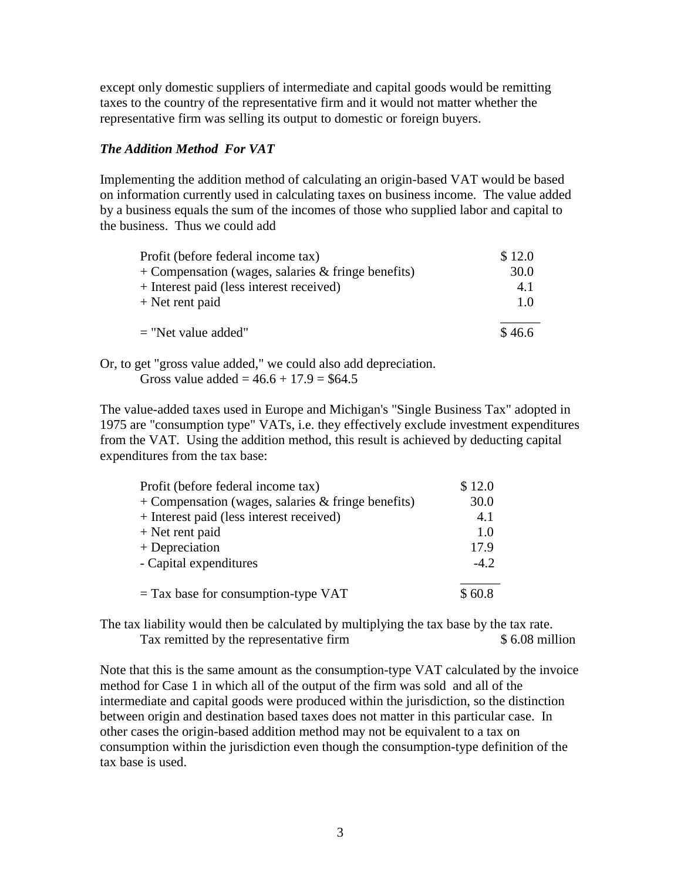except only domestic suppliers of intermediate and capital goods would be remitting taxes to the country of the representative firm and it would not matter whether the representative firm was selling its output to domestic or foreign buyers.

#### *The Addition Method For VAT*

Implementing the addition method of calculating an origin-based VAT would be based on information currently used in calculating taxes on business income. The value added by a business equals the sum of the incomes of those who supplied labor and capital to the business. Thus we could add

| Profit (before federal income tax)                   | \$12.0 |
|------------------------------------------------------|--------|
| $+$ Compensation (wages, salaries & fringe benefits) | 30.0   |
| + Interest paid (less interest received)             | 4.1    |
| $+$ Net rent paid                                    | 1.0    |
|                                                      |        |
| $=$ "Net value added"                                | \$46.6 |
|                                                      |        |

Or, to get "gross value added," we could also add depreciation. Gross value added =  $46.6 + 17.9 = $64.5$ 

The value-added taxes used in Europe and Michigan's "Single Business Tax" adopted in 1975 are "consumption type" VATs, i.e. they effectively exclude investment expenditures from the VAT. Using the addition method, this result is achieved by deducting capital expenditures from the tax base:

| Profit (before federal income tax)                   | \$12.0 |
|------------------------------------------------------|--------|
| $+$ Compensation (wages, salaries & fringe benefits) | 30.0   |
| + Interest paid (less interest received)             | 4.1    |
| $+$ Net rent paid                                    | 1.0    |
| $+$ Depreciation                                     | 17.9   |
| - Capital expenditures                               | $-4.2$ |
| $=$ Tax base for consumption-type VAT                | \$60.8 |

The tax liability would then be calculated by multiplying the tax base by the tax rate. Tax remitted by the representative firm  $$ 6.08$  million

Note that this is the same amount as the consumption-type VAT calculated by the invoice method for Case 1 in which all of the output of the firm was sold and all of the intermediate and capital goods were produced within the jurisdiction, so the distinction between origin and destination based taxes does not matter in this particular case. In other cases the origin-based addition method may not be equivalent to a tax on consumption within the jurisdiction even though the consumption-type definition of the tax base is used.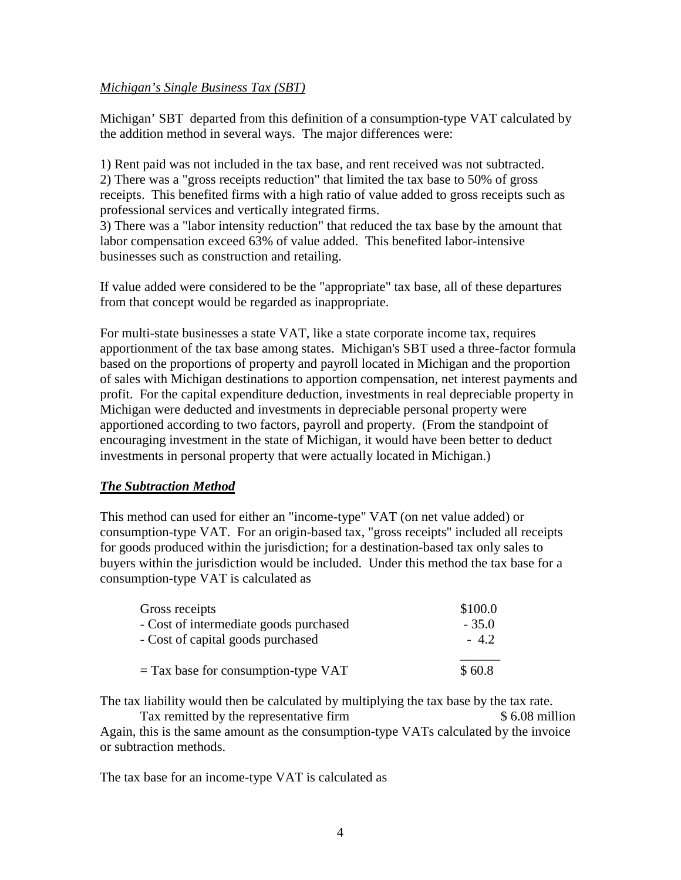### *Michigan's Single Business Tax (SBT)*

Michigan' SBT departed from this definition of a consumption-type VAT calculated by the addition method in several ways. The major differences were:

1) Rent paid was not included in the tax base, and rent received was not subtracted. 2) There was a "gross receipts reduction" that limited the tax base to 50% of gross receipts. This benefited firms with a high ratio of value added to gross receipts such as professional services and vertically integrated firms.

3) There was a "labor intensity reduction" that reduced the tax base by the amount that labor compensation exceed 63% of value added. This benefited labor-intensive businesses such as construction and retailing.

If value added were considered to be the "appropriate" tax base, all of these departures from that concept would be regarded as inappropriate.

For multi-state businesses a state VAT, like a state corporate income tax, requires apportionment of the tax base among states. Michigan's SBT used a three-factor formula based on the proportions of property and payroll located in Michigan and the proportion of sales with Michigan destinations to apportion compensation, net interest payments and profit. For the capital expenditure deduction, investments in real depreciable property in Michigan were deducted and investments in depreciable personal property were apportioned according to two factors, payroll and property. (From the standpoint of encouraging investment in the state of Michigan, it would have been better to deduct investments in personal property that were actually located in Michigan.)

# *The Subtraction Method*

This method can used for either an "income-type" VAT (on net value added) or consumption-type VAT. For an origin-based tax, "gross receipts" included all receipts for goods produced within the jurisdiction; for a destination-based tax only sales to buyers within the jurisdiction would be included. Under this method the tax base for a consumption-type VAT is calculated as

| Gross receipts                         | \$100.0 |
|----------------------------------------|---------|
| - Cost of intermediate goods purchased | $-35.0$ |
| - Cost of capital goods purchased      | $-4.2$  |
| $=$ Tax base for consumption-type VAT  | \$60.8  |
|                                        |         |

The tax liability would then be calculated by multiplying the tax base by the tax rate.

Tax remitted by the representative firm  $$ 6.08$  million Again, this is the same amount as the consumption-type VATs calculated by the invoice or subtraction methods.

The tax base for an income-type VAT is calculated as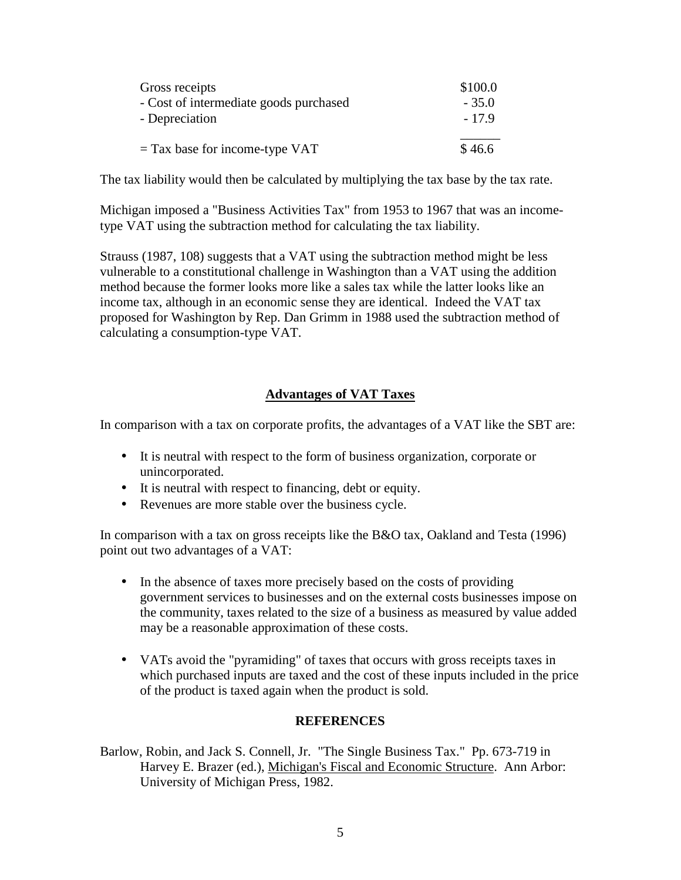| Gross receipts                         | \$100.0 |
|----------------------------------------|---------|
| - Cost of intermediate goods purchased | $-35.0$ |
| - Depreciation                         | $-17.9$ |
| $=$ Tax base for income-type VAT       | \$46.6  |

The tax liability would then be calculated by multiplying the tax base by the tax rate.

Michigan imposed a "Business Activities Tax" from 1953 to 1967 that was an incometype VAT using the subtraction method for calculating the tax liability.

Strauss (1987, 108) suggests that a VAT using the subtraction method might be less vulnerable to a constitutional challenge in Washington than a VAT using the addition method because the former looks more like a sales tax while the latter looks like an income tax, although in an economic sense they are identical. Indeed the VAT tax proposed for Washington by Rep. Dan Grimm in 1988 used the subtraction method of calculating a consumption-type VAT.

### **Advantages of VAT Taxes**

In comparison with a tax on corporate profits, the advantages of a VAT like the SBT are:

- It is neutral with respect to the form of business organization, corporate or unincorporated.
- It is neutral with respect to financing, debt or equity.
- Revenues are more stable over the business cycle.

In comparison with a tax on gross receipts like the B&O tax, Oakland and Testa (1996) point out two advantages of a VAT:

- In the absence of taxes more precisely based on the costs of providing government services to businesses and on the external costs businesses impose on the community, taxes related to the size of a business as measured by value added may be a reasonable approximation of these costs.
- VATs avoid the "pyramiding" of taxes that occurs with gross receipts taxes in which purchased inputs are taxed and the cost of these inputs included in the price of the product is taxed again when the product is sold.

#### **REFERENCES**

Barlow, Robin, and Jack S. Connell, Jr. "The Single Business Tax." Pp. 673-719 in Harvey E. Brazer (ed.), Michigan's Fiscal and Economic Structure. Ann Arbor: University of Michigan Press, 1982.